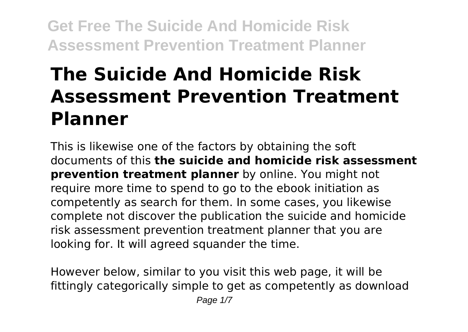# **The Suicide And Homicide Risk Assessment Prevention Treatment Planner**

This is likewise one of the factors by obtaining the soft documents of this **the suicide and homicide risk assessment prevention treatment planner** by online. You might not require more time to spend to go to the ebook initiation as competently as search for them. In some cases, you likewise complete not discover the publication the suicide and homicide risk assessment prevention treatment planner that you are looking for. It will agreed squander the time.

However below, similar to you visit this web page, it will be fittingly categorically simple to get as competently as download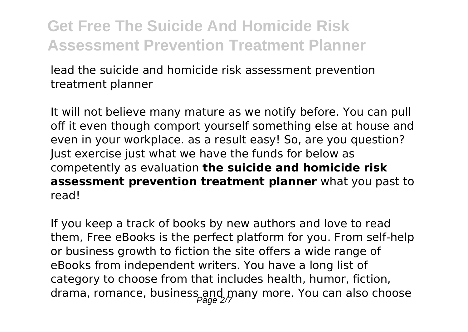lead the suicide and homicide risk assessment prevention treatment planner

It will not believe many mature as we notify before. You can pull off it even though comport yourself something else at house and even in your workplace. as a result easy! So, are you question? Just exercise just what we have the funds for below as competently as evaluation **the suicide and homicide risk assessment prevention treatment planner** what you past to read!

If you keep a track of books by new authors and love to read them, Free eBooks is the perfect platform for you. From self-help or business growth to fiction the site offers a wide range of eBooks from independent writers. You have a long list of category to choose from that includes health, humor, fiction, drama, romance, business and many more. You can also choose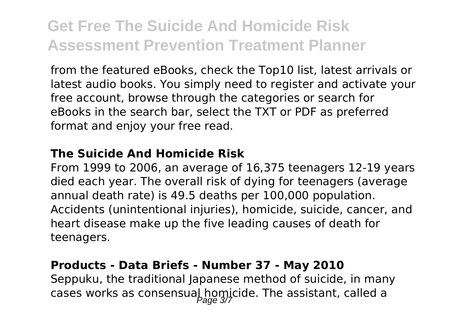from the featured eBooks, check the Top10 list, latest arrivals or latest audio books. You simply need to register and activate your free account, browse through the categories or search for eBooks in the search bar, select the TXT or PDF as preferred format and enjoy your free read.

#### **The Suicide And Homicide Risk**

From 1999 to 2006, an average of 16,375 teenagers 12-19 years died each year. The overall risk of dying for teenagers (average annual death rate) is 49.5 deaths per 100,000 population. Accidents (unintentional injuries), homicide, suicide, cancer, and heart disease make up the five leading causes of death for teenagers.

#### **Products - Data Briefs - Number 37 - May 2010**

Seppuku, the traditional Japanese method of suicide, in many cases works as consensual homicide. The assistant, called a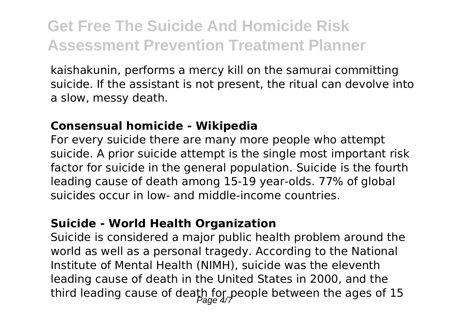kaishakunin, performs a mercy kill on the samurai committing suicide. If the assistant is not present, the ritual can devolve into a slow, messy death.

#### **Consensual homicide - Wikipedia**

For every suicide there are many more people who attempt suicide. A prior suicide attempt is the single most important risk factor for suicide in the general population. Suicide is the fourth leading cause of death among 15-19 year-olds. 77% of global suicides occur in low- and middle-income countries.

#### **Suicide - World Health Organization**

Suicide is considered a major public health problem around the world as well as a personal tragedy. According to the National Institute of Mental Health (NIMH), suicide was the eleventh leading cause of death in the United States in 2000, and the third leading cause of death for people between the ages of 15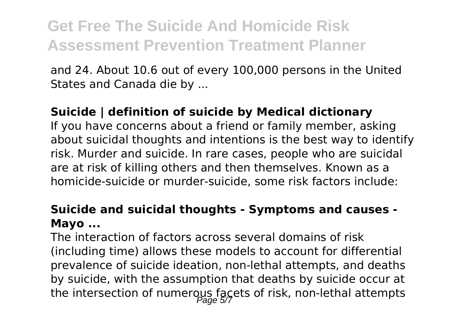and 24. About 10.6 out of every 100,000 persons in the United States and Canada die by ...

#### **Suicide | definition of suicide by Medical dictionary**

If you have concerns about a friend or family member, asking about suicidal thoughts and intentions is the best way to identify risk. Murder and suicide. In rare cases, people who are suicidal are at risk of killing others and then themselves. Known as a homicide-suicide or murder-suicide, some risk factors include:

#### **Suicide and suicidal thoughts - Symptoms and causes - Mayo ...**

The interaction of factors across several domains of risk (including time) allows these models to account for differential prevalence of suicide ideation, non-lethal attempts, and deaths by suicide, with the assumption that deaths by suicide occur at the intersection of numerous facets of risk, non-lethal attempts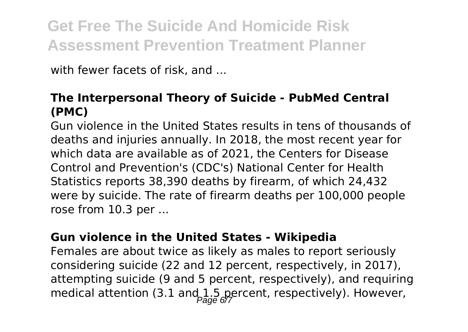with fewer facets of risk, and ...

#### **The Interpersonal Theory of Suicide - PubMed Central (PMC)**

Gun violence in the United States results in tens of thousands of deaths and injuries annually. In 2018, the most recent year for which data are available as of 2021, the Centers for Disease Control and Prevention's (CDC's) National Center for Health Statistics reports 38,390 deaths by firearm, of which 24,432 were by suicide. The rate of firearm deaths per 100,000 people rose from 10.3 per ...

#### **Gun violence in the United States - Wikipedia**

Females are about twice as likely as males to report seriously considering suicide (22 and 12 percent, respectively, in 2017), attempting suicide (9 and 5 percent, respectively), and requiring medical attention (3.1 and 1.5 percent, respectively). However,